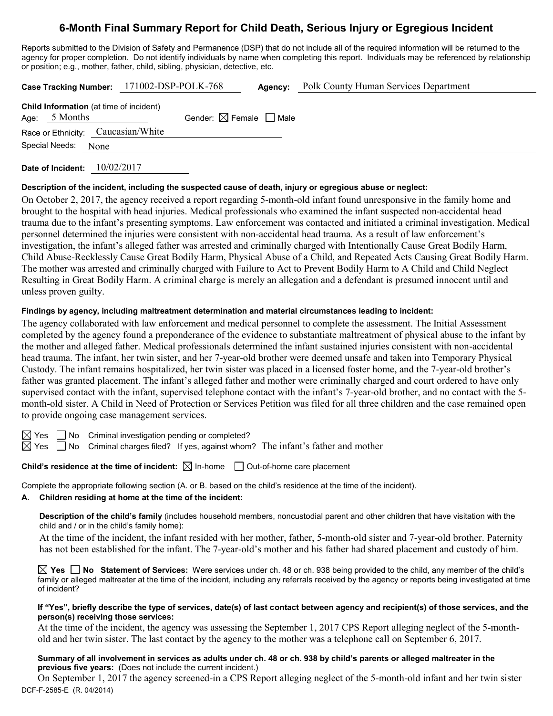# **6-Month Final Summary Report for Child Death, Serious Injury or Egregious Incident**

Reports submitted to the Division of Safety and Permanence (DSP) that do not include all of the required information will be returned to the agency for proper completion. Do not identify individuals by name when completing this report. Individuals may be referenced by relationship or position; e.g., mother, father, child, sibling, physician, detective, etc.

|                 |                                                | Case Tracking Number: 171002-DSP-POLK-768 |                                        | Agency: | <b>Polk County Human Services Department</b> |
|-----------------|------------------------------------------------|-------------------------------------------|----------------------------------------|---------|----------------------------------------------|
| Age: $5$ Months | <b>Child Information</b> (at time of incident) |                                           | Gender: $\boxtimes$ Female $\Box$ Male |         |                                              |
|                 | Race or Ethnicity: Caucasian/White             |                                           |                                        |         |                                              |
|                 | Special Needs: None                            |                                           |                                        |         |                                              |
|                 |                                                |                                           |                                        |         |                                              |

**Date of Incident:** 10/02/2017

#### **Description of the incident, including the suspected cause of death, injury or egregious abuse or neglect:**

On October 2, 2017, the agency received a report regarding 5-month-old infant found unresponsive in the family home and brought to the hospital with head injuries. Medical professionals who examined the infant suspected non-accidental head trauma due to the infant's presenting symptoms. Law enforcement was contacted and initiated a criminal investigation. Medical personnel determined the injuries were consistent with non-accidental head trauma. As a result of law enforcement's investigation, the infant's alleged father was arrested and criminally charged with Intentionally Cause Great Bodily Harm, Child Abuse-Recklessly Cause Great Bodily Harm, Physical Abuse of a Child, and Repeated Acts Causing Great Bodily Harm. The mother was arrested and criminally charged with Failure to Act to Prevent Bodily Harm to A Child and Child Neglect Resulting in Great Bodily Harm. A criminal charge is merely an allegation and a defendant is presumed innocent until and unless proven guilty.

## **Findings by agency, including maltreatment determination and material circumstances leading to incident:**

The agency collaborated with law enforcement and medical personnel to complete the assessment. The Initial Assessment completed by the agency found a preponderance of the evidence to substantiate maltreatment of physical abuse to the infant by the mother and alleged father. Medical professionals determined the infant sustained injuries consistent with non-accidental head trauma. The infant, her twin sister, and her 7-year-old brother were deemed unsafe and taken into Temporary Physical Custody. The infant remains hospitalized, her twin sister was placed in a licensed foster home, and the 7-year-old brother's father was granted placement. The infant's alleged father and mother were criminally charged and court ordered to have only supervised contact with the infant, supervised telephone contact with the infant's 7-year-old brother, and no contact with the 5 month-old sister. A Child in Need of Protection or Services Petition was filed for all three children and the case remained open to provide ongoing case management services.

 $\boxtimes$  Yes  $\Box$  No Criminal investigation pending or completed?

 $\boxtimes$  Yes  $\Box$  No Criminal charges filed? If yes, against whom? The infant's father and mother

# **Child's residence at the time of incident:**  $\boxtimes$  In-home  $\Box$  Out-of-home care placement

Complete the appropriate following section (A. or B. based on the child's residence at the time of the incident).

## **A. Children residing at home at the time of the incident:**

**Description of the child's family** (includes household members, noncustodial parent and other children that have visitation with the child and / or in the child's family home):

At the time of the incident, the infant resided with her mother, father, 5-month-old sister and 7-year-old brother. Paternity has not been established for the infant. The 7-year-old's mother and his father had shared placement and custody of him.

**Yes No Statement of Services:** Were services under ch. 48 or ch. 938 being provided to the child, any member of the child's family or alleged maltreater at the time of the incident, including any referrals received by the agency or reports being investigated at time of incident?

#### **If "Yes", briefly describe the type of services, date(s) of last contact between agency and recipient(s) of those services, and the person(s) receiving those services:**

At the time of the incident, the agency was assessing the September 1, 2017 CPS Report alleging neglect of the 5-monthold and her twin sister. The last contact by the agency to the mother was a telephone call on September 6, 2017.

#### **Summary of all involvement in services as adults under ch. 48 or ch. 938 by child's parents or alleged maltreater in the previous five years:** (Does not include the current incident.)

DCF-F-2585-E (R. 04/2014) On September 1, 2017 the agency screened-in a CPS Report alleging neglect of the 5-month-old infant and her twin sister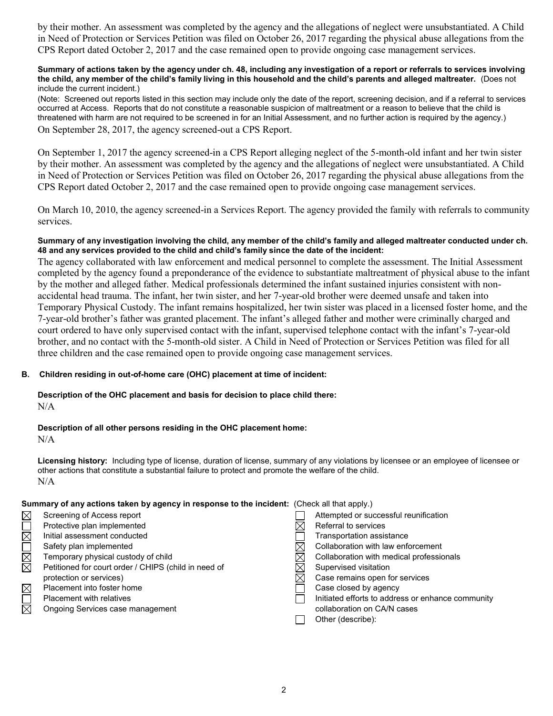by their mother. An assessment was completed by the agency and the allegations of neglect were unsubstantiated. A Child in Need of Protection or Services Petition was filed on October 26, 2017 regarding the physical abuse allegations from the CPS Report dated October 2, 2017 and the case remained open to provide ongoing case management services.

#### **Summary of actions taken by the agency under ch. 48, including any investigation of a report or referrals to services involving the child, any member of the child's family living in this household and the child's parents and alleged maltreater.** (Does not include the current incident.)

(Note: Screened out reports listed in this section may include only the date of the report, screening decision, and if a referral to services occurred at Access. Reports that do not constitute a reasonable suspicion of maltreatment or a reason to believe that the child is threatened with harm are not required to be screened in for an Initial Assessment, and no further action is required by the agency.) On September 28, 2017, the agency screened-out a CPS Report.

On September 1, 2017 the agency screened-in a CPS Report alleging neglect of the 5-month-old infant and her twin sister by their mother. An assessment was completed by the agency and the allegations of neglect were unsubstantiated. A Child in Need of Protection or Services Petition was filed on October 26, 2017 regarding the physical abuse allegations from the CPS Report dated October 2, 2017 and the case remained open to provide ongoing case management services.

On March 10, 2010, the agency screened-in a Services Report. The agency provided the family with referrals to community services.

## **Summary of any investigation involving the child, any member of the child's family and alleged maltreater conducted under ch. 48 and any services provided to the child and child's family since the date of the incident:**

The agency collaborated with law enforcement and medical personnel to complete the assessment. The Initial Assessment completed by the agency found a preponderance of the evidence to substantiate maltreatment of physical abuse to the infant by the mother and alleged father. Medical professionals determined the infant sustained injuries consistent with nonaccidental head trauma. The infant, her twin sister, and her 7-year-old brother were deemed unsafe and taken into Temporary Physical Custody. The infant remains hospitalized, her twin sister was placed in a licensed foster home, and the 7-year-old brother's father was granted placement. The infant's alleged father and mother were criminally charged and court ordered to have only supervised contact with the infant, supervised telephone contact with the infant's 7-year-old brother, and no contact with the 5-month-old sister. A Child in Need of Protection or Services Petition was filed for all three children and the case remained open to provide ongoing case management services.

# **B. Children residing in out-of-home care (OHC) placement at time of incident:**

## **Description of the OHC placement and basis for decision to place child there:**  $N/A$

# **Description of all other persons residing in the OHC placement home:**

 $N/A$ 

**Licensing history:** Including type of license, duration of license, summary of any violations by licensee or an employee of licensee or other actions that constitute a substantial failure to protect and promote the welfare of the child. N/A

## **Summary of any actions taken by agency in response to the incident:** (Check all that apply.)

| $\boxtimes$ | Screening of Access report                           | Attempted or successful reunification             |
|-------------|------------------------------------------------------|---------------------------------------------------|
|             | Protective plan implemented                          | Referral to services                              |
| $\boxtimes$ | Initial assessment conducted                         | Transportation assistance                         |
|             | Safety plan implemented                              | Collaboration with law enforcement                |
| $\boxtimes$ | Temporary physical custody of child                  | Collaboration with medical professionals          |
| $\boxtimes$ | Petitioned for court order / CHIPS (child in need of | Supervised visitation                             |
|             | protection or services)                              | Case remains open for services                    |
| $\boxtimes$ | Placement into foster home                           | Case closed by agency                             |
|             | <b>Placement with relatives</b>                      | Initiated efforts to address or enhance community |
| $\boxtimes$ | Ongoing Services case management                     | collaboration on CA/N cases                       |
|             |                                                      | Other (describe):                                 |
|             |                                                      |                                                   |